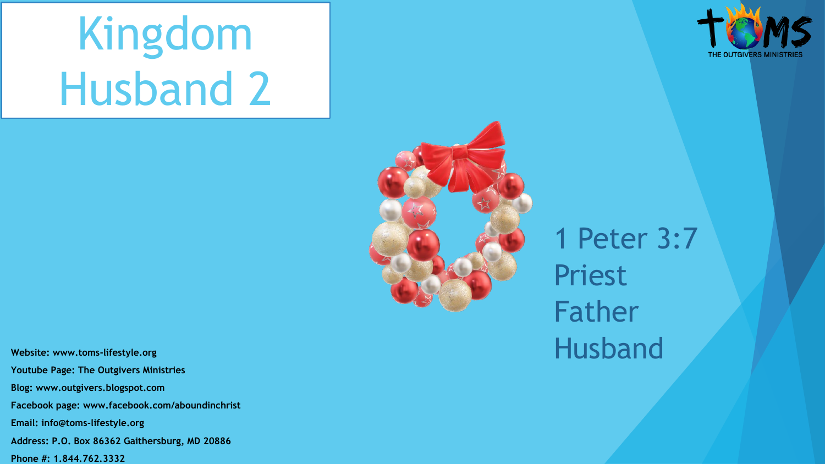# Kingdom Husband 2





1 Peter 3:7 Priest Father

**Website: www.toms-lifestyle.org** Husband **Youtube Page: The Outgivers Ministries Blog: www.outgivers.blogspot.com Facebook page: www.facebook.com/aboundinchrist Email: info@toms-lifestyle.org Address: P.O. Box 86362 Gaithersburg, MD 20886** 

**Phone #: 1.844.762.3332**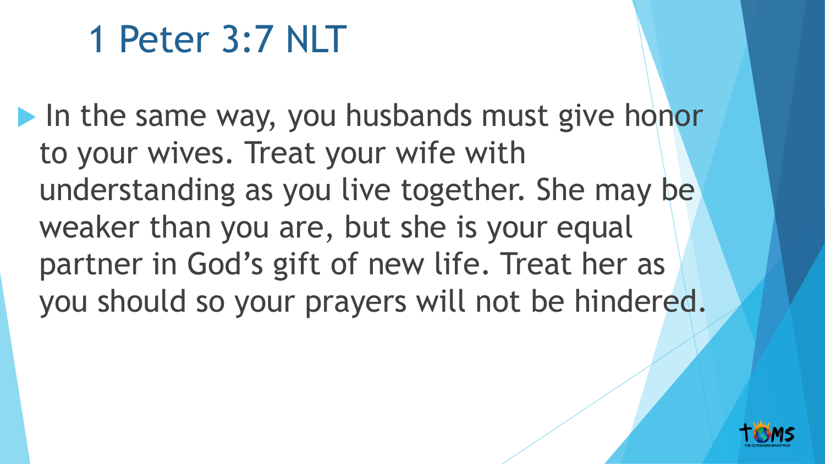## 1 Peter 3:7 NLT

I In the same way, you husbands must give honor to your wives. Treat your wife with understanding as you live together. She may be weaker than you are, but she is your equal partner in God's gift of new life. Treat her as you should so your prayers will not be hindered.

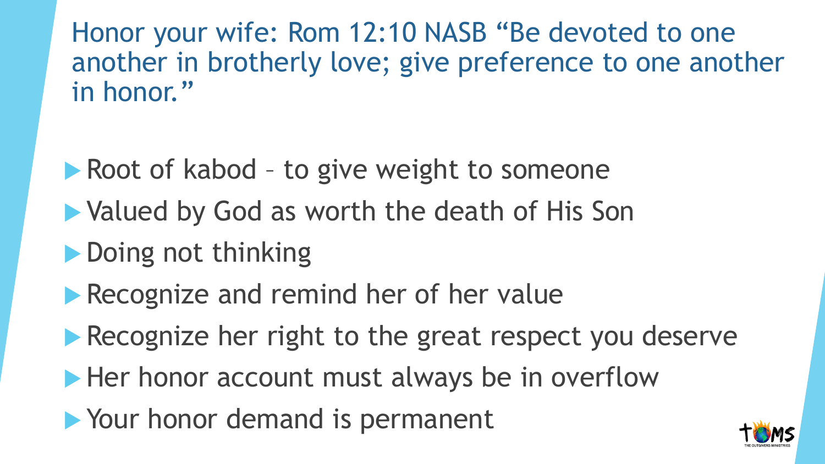Honor your wife: Rom 12:10 NASB "Be devoted to one another in brotherly love; give preference to one another in honor."

- Root of kabod to give weight to someone
- ▶ Valued by God as worth the death of His Son
- **Doing not thinking**
- Recognize and remind her of her value
- Recognize her right to the great respect you deserve
- Her honor account must always be in overflow
- Your honor demand is permanent

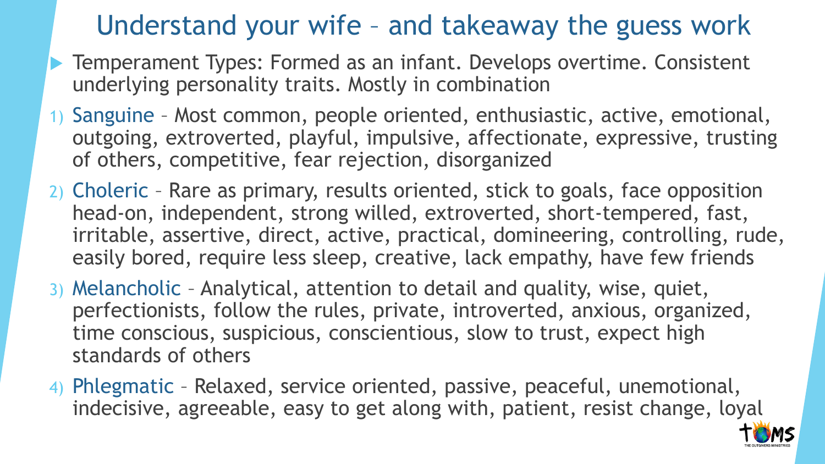## Understand your wife – and takeaway the guess work

- **Temperament Types: Formed as an infant. Develops overtime. Consistent** underlying personality traits. Mostly in combination
- 1) Sanguine Most common, people oriented, enthusiastic, active, emotional, outgoing, extroverted, playful, impulsive, affectionate, expressive, trusting of others, competitive, fear rejection, disorganized
- 2) Choleric Rare as primary, results oriented, stick to goals, face opposition head-on, independent, strong willed, extroverted, short-tempered, fast, irritable, assertive, direct, active, practical, domineering, controlling, rude, easily bored, require less sleep, creative, lack empathy, have few friends
- 3) Melancholic Analytical, attention to detail and quality, wise, quiet, perfectionists, follow the rules, private, introverted, anxious, organized, time conscious, suspicious, conscientious, slow to trust, expect high standards of others
- 4) Phlegmatic Relaxed, service oriented, passive, peaceful, unemotional, indecisive, agreeable, easy to get along with, patient, resist change, loyal

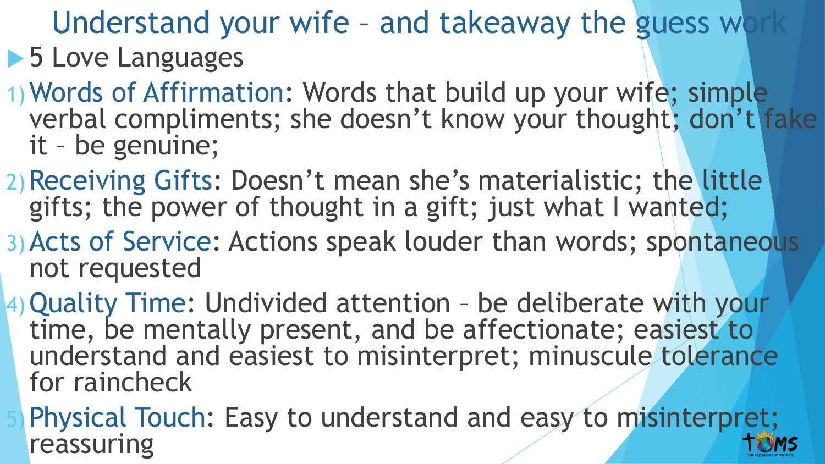Understand your wife - and takeaway the guess wo

## **5 Love Languages**

- 1)Words of Affirmation: Words that build up your wife; simple verbal compliments; she doesn't know your thought; don't fake it – be genuine;
- 2)Receiving Gifts: Doesn't mean she's materialistic; the little gifts; the power of thought in a gift; just what I wanted;
- 3)Acts of Service: Actions speak louder than words; spontaneous not requested
- 4)Quality Time: Undivided attention be deliberate with your time, be mentally present, and be affectionate; easiest to understand and easiest to misinterpret; minuscule tolerance for raincheck
- Physical Touch: Easy to understand and easy to misinterpret; reassuring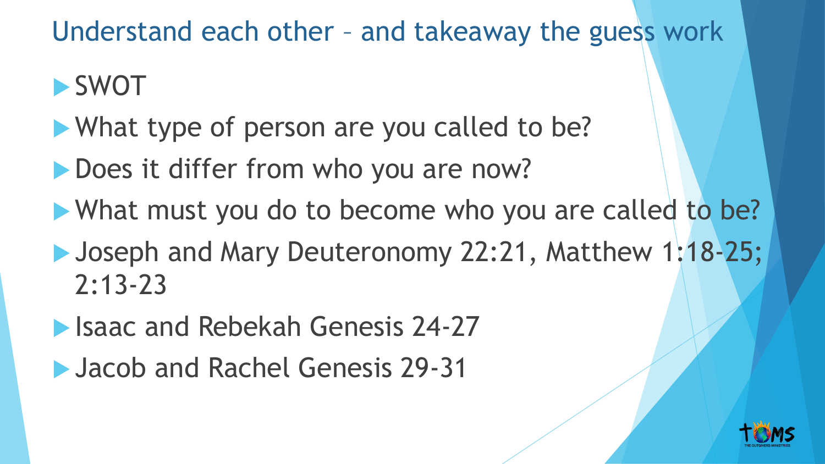Understand each other – and takeaway the guess work

## SWOT

- What type of person are you called to be?
- Does it differ from who you are now?
- What must you do to become who you are called to be?
- **Joseph and Mary Deuteronomy 22:21, Matthew 1:18-25;** 2:13-23
- Isaac and Rebekah Genesis 24-27
- **Jacob and Rachel Genesis 29-31**

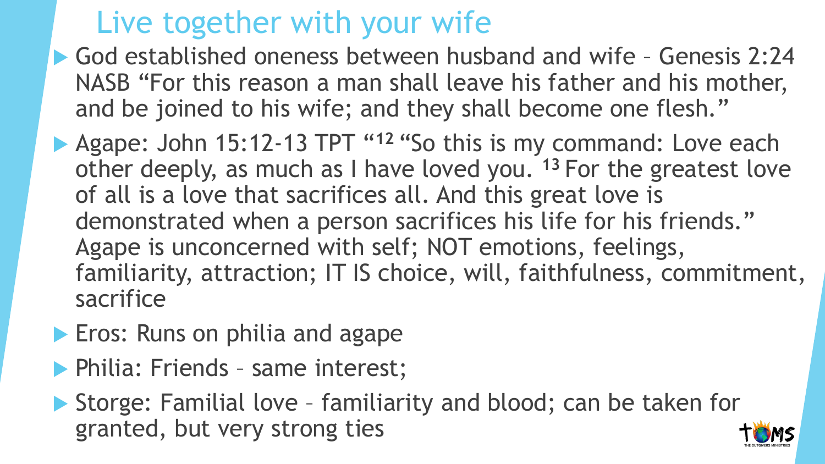## Live together with your wife

- God established oneness between husband and wife Genesis 2:24 NASB "For this reason a man shall leave his father and his mother, and be joined to his wife; and they shall become one flesh."
- **Agape: John 15:12-13 TPT "<sup>12</sup> "So this is my command: Love each** other deeply, as much as I have loved you. **<sup>13</sup>** For the greatest love of all is a love that sacrifices all. And this great love is demonstrated when a person sacrifices his life for his friends." Agape is unconcerned with self; NOT emotions, feelings, familiarity, attraction; IT IS choice, will, faithfulness, commitment, sacrifice
- **Eros: Runs on philia and agape**
- **Philia: Friends same interest;**

▶ Storge: Familial love - familiarity and blood; can be taken for granted, but very strong ties

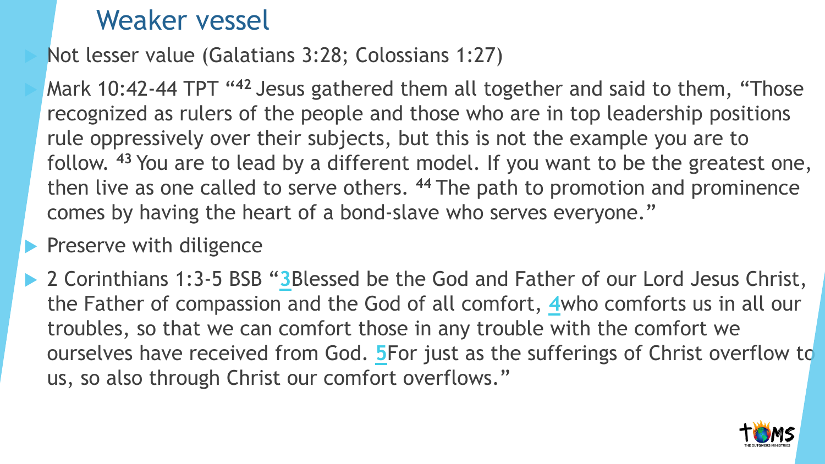## Weaker vessel

Not lesser value (Galatians 3:28; Colossians 1:27)

 Mark 10:42-44 TPT "**<sup>42</sup>** Jesus gathered them all together and said to them, "Those recognized as rulers of the people and those who are in top leadership positions rule oppressively over their subjects, but this is not the example you are to follow. **<sup>43</sup>** You are to lead by a different model. If you want to be the greatest one, then live as one called to serve others. **<sup>44</sup>** The path to promotion and prominence comes by having the heart of a bond-slave who serves everyone."

#### $\blacktriangleright$  Preserve with diligence

▶ 2 Corinthians 1:[3](https://biblehub.com/2_corinthians/1-3.htm)-5 BSB "3Blessed be the God and Father of our Lord Jesus Christ, the Father of compassion and the God of all comfort, **[4](https://biblehub.com/2_corinthians/1-4.htm)**who comforts us in all our troubles, so that we can comfort those in any trouble with the comfort we ourselves have received from God. **[5](https://biblehub.com/2_corinthians/1-5.htm)**For just as the sufferings of Christ overflow to us, so also through Christ our comfort overflows."

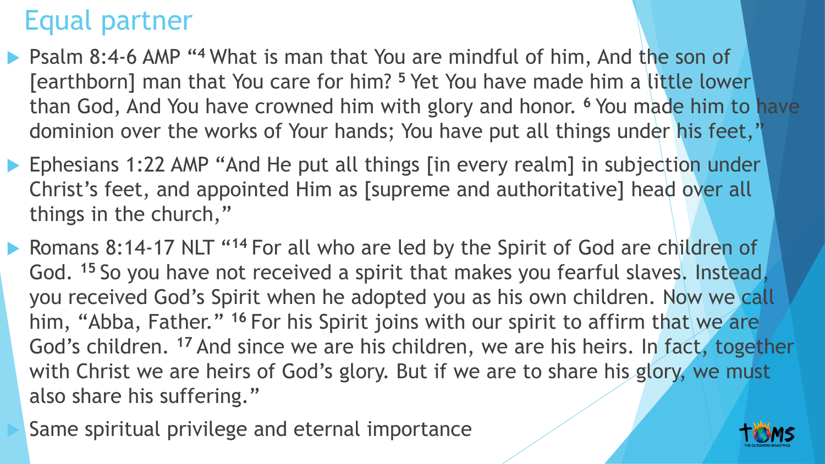#### Equal partner

- **Philleph** 8:4-6 AMP "<sup>4</sup> What is man that You are mindful of him, And the son of [earthborn] man that You care for him? **<sup>5</sup>** Yet You have made him a little lower than God, And You have crowned him with glory and honor. **<sup>6</sup>**You made him to have dominion over the works of Your hands; You have put all things under his feet,"
- Ephesians 1:22 AMP "And He put all things [in every realm] in subjection under Christ's feet, and appointed Him as [supreme and authoritative] head over all things in the church,"
- **Romans 8:14-17 NLT "14 For all who are led by the Spirit of God are children of** God. **<sup>15</sup>** So you have not received a spirit that makes you fearful slaves. Instead, you received God's Spirit when he adopted you as his own children. Now we call him, "Abba, Father." **<sup>16</sup>** For his Spirit joins with our spirit to affirm that we are God's children. <sup>17</sup> And since we are his children, we are his heirs. In fact, together with Christ we are heirs of God's glory. But if we are to share his glory, we must also share his suffering."
	- Same spiritual privilege and eternal importance